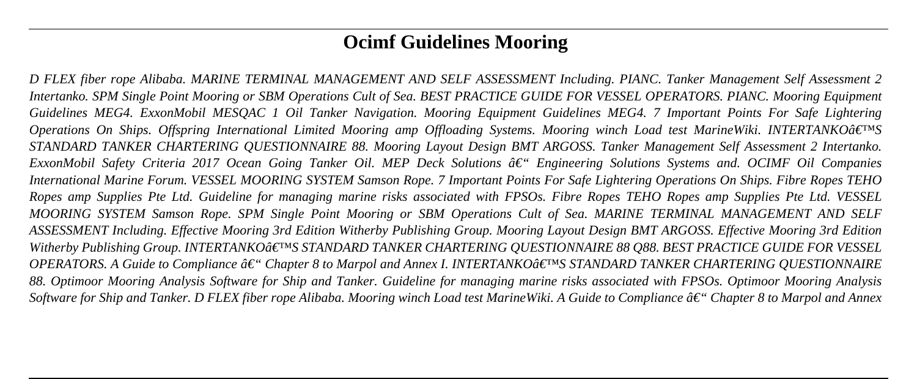# **Ocimf Guidelines Mooring**

*D FLEX fiber rope Alibaba. MARINE TERMINAL MANAGEMENT AND SELF ASSESSMENT Including. PIANC. Tanker Management Self Assessment 2 Intertanko. SPM Single Point Mooring or SBM Operations Cult of Sea. BEST PRACTICE GUIDE FOR VESSEL OPERATORS. PIANC. Mooring Equipment Guidelines MEG4. ExxonMobil MESQAC 1 Oil Tanker Navigation. Mooring Equipment Guidelines MEG4. 7 Important Points For Safe Lightering Operations On Ships. Offspring International Limited Mooring amp Offloading Systems. Mooring winch Load test MarineWiki. INTERTANKO'S STANDARD TANKER CHARTERING QUESTIONNAIRE 88. Mooring Layout Design BMT ARGOSS. Tanker Management Self Assessment 2 Intertanko. ExxonMobil Safety Criteria 2017 Ocean Going Tanker Oil. MEP Deck Solutions â€*" *Engineering Solutions Systems and. OCIMF Oil Companies International Marine Forum. VESSEL MOORING SYSTEM Samson Rope. 7 Important Points For Safe Lightering Operations On Ships. Fibre Ropes TEHO Ropes amp Supplies Pte Ltd. Guideline for managing marine risks associated with FPSOs. Fibre Ropes TEHO Ropes amp Supplies Pte Ltd. VESSEL MOORING SYSTEM Samson Rope. SPM Single Point Mooring or SBM Operations Cult of Sea. MARINE TERMINAL MANAGEMENT AND SELF ASSESSMENT Including. Effective Mooring 3rd Edition Witherby Publishing Group. Mooring Layout Design BMT ARGOSS. Effective Mooring 3rd Edition Witherby Publishing Group. INTERTANKO'S STANDARD TANKER CHARTERING QUESTIONNAIRE 88 Q88. BEST PRACTICE GUIDE FOR VESSEL OPERATORS. A Guide to Compliance â€*" Chapter 8 to Marpol and Annex I. INTERTANKO'S STANDARD TANKER CHARTERING QUESTIONNAIRE *88. Optimoor Mooring Analysis Software for Ship and Tanker. Guideline for managing marine risks associated with FPSOs. Optimoor Mooring Analysis Software for Ship and Tanker. D FLEX fiber rope Alibaba. Mooring winch Load test MarineWiki. A Guide to Compliance â€ Chapter 8 to Marpol and Annex*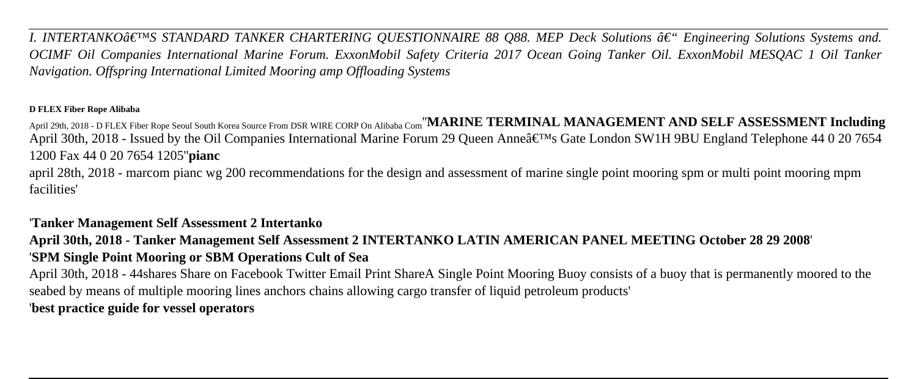*I. INTERTANKO* $\hat{a} \in \{M\}$  *STANDARD TANKER CHARTERING QUESTIONNAIRE 88 Q88. MEP Deck Solutions*  $\hat{a} \in \{M\}$  *Engineering Solutions Systems and. OCIMF Oil Companies International Marine Forum. ExxonMobil Safety Criteria 2017 Ocean Going Tanker Oil. ExxonMobil MESQAC 1 Oil Tanker Navigation. Offspring International Limited Mooring amp Offloading Systems*

#### **D FLEX Fiber Rope Alibaba**

April 29th, 2018 - D FLEX Fiber Rope Seoul South Korea Source From DSR WIRE CORP On Alibaba Com''**MARINE TERMINAL MANAGEMENT AND SELF ASSESSMENT Including** April 30th, 2018 - Issued by the Oil Companies International Marine Forum 29 Oueen Anne's Gate London SW1H 9BU England Telephone 44 0 20 7654 1200 Fax 44 0 20 7654 1205''**pianc**

april 28th, 2018 - marcom pianc wg 200 recommendations for the design and assessment of marine single point mooring spm or multi point mooring mpm facilities'

# '**Tanker Management Self Assessment 2 Intertanko**

**April 30th, 2018 - Tanker Management Self Assessment 2 INTERTANKO LATIN AMERICAN PANEL MEETING October 28 29 2008**' '**SPM Single Point Mooring or SBM Operations Cult of Sea**

April 30th, 2018 - 44shares Share on Facebook Twitter Email Print ShareA Single Point Mooring Buoy consists of a buoy that is permanently moored to the seabed by means of multiple mooring lines anchors chains allowing cargo transfer of liquid petroleum products' '**best practice guide for vessel operators**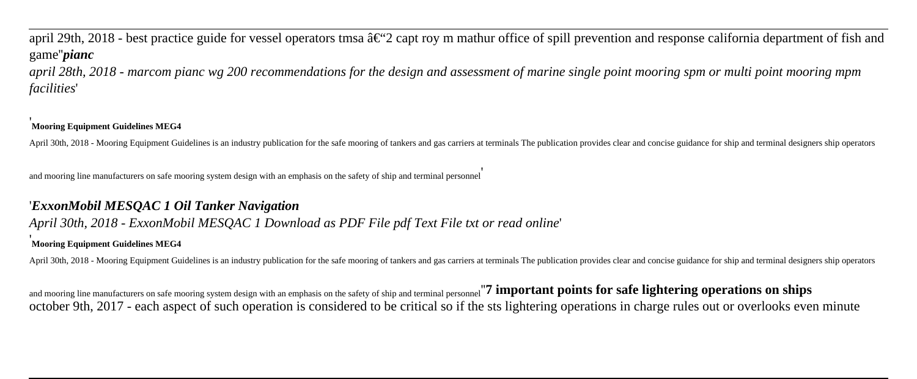# april 29th, 2018 - best practice guide for vessel operators tmsa  $\hat{a} \in 2$  capt roy m mathur office of spill prevention and response california department of fish and game''*pianc*

*april 28th, 2018 - marcom pianc wg 200 recommendations for the design and assessment of marine single point mooring spm or multi point mooring mpm facilities*'

#### '**Mooring Equipment Guidelines MEG4**

April 30th, 2018 - Mooring Equipment Guidelines is an industry publication for the safe mooring of tankers and gas carriers at terminals The publication provides clear and concise guidance for ship and terminal designers s

and mooring line manufacturers on safe mooring system design with an emphasis on the safety of ship and terminal personnel'

#### '*ExxonMobil MESQAC 1 Oil Tanker Navigation*

#### *April 30th, 2018 - ExxonMobil MESQAC 1 Download as PDF File pdf Text File txt or read online*'

#### '**Mooring Equipment Guidelines MEG4**

April 30th, 2018 - Mooring Equipment Guidelines is an industry publication for the safe mooring of tankers and gas carriers at terminals The publication provides clear and concise guidance for ship and terminal designers s

and mooring line manufacturers on safe mooring system design with an emphasis on the safety of ship and terminal personnel''**7 important points for safe lightering operations on ships** october 9th, 2017 - each aspect of such operation is considered to be critical so if the sts lightering operations in charge rules out or overlooks even minute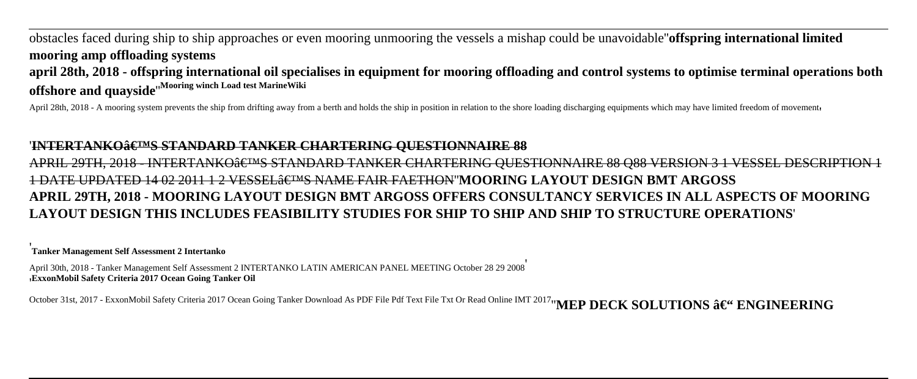obstacles faced during ship to ship approaches or even mooring unmooring the vessels a mishap could be unavoidable''**offspring international limited mooring amp offloading systems april 28th, 2018 - offspring international oil specialises in equipment for mooring offloading and control systems to optimise terminal operations both offshore and quayside**''**Mooring winch Load test MarineWiki**

April 28th, 2018 - A mooring system prevents the ship from drifting away from a berth and holds the ship in position in relation to the shore loading discharging equipments which may have limited freedom of movement,

#### '<del>INTERTANKO'S STANDARD TANKER CHARTERING OUESTIONNAIRE 88</del>

APRIL 29TH, 2018 - INTERTANKO a ETMS STANDARD TANKER CHARTERING QUESTIONNAIRE 88 Q88 VERSION 3 1 VESSEL DESCRIPTION 1 1 DATE UPDATED 14 02 2011 1 2 VESSEL'S NAME FAIR FAETHON''**MOORING LAYOUT DESIGN BMT ARGOSS APRIL 29TH, 2018 - MOORING LAYOUT DESIGN BMT ARGOSS OFFERS CONSULTANCY SERVICES IN ALL ASPECTS OF MOORING LAYOUT DESIGN THIS INCLUDES FEASIBILITY STUDIES FOR SHIP TO SHIP AND SHIP TO STRUCTURE OPERATIONS**'

'**Tanker Management Self Assessment 2 Intertanko**

April 30th, 2018 - Tanker Management Self Assessment 2 INTERTANKO LATIN AMERICAN PANEL MEETING October 28 29 2008' '**ExxonMobil Safety Criteria 2017 Ocean Going Tanker Oil**

October 31st, 2017 - ExxonMobil Safety Criteria 2017 Ocean Going Tanker Download As PDF File Pdf Text File Txt Or Read Online IMT 2017<sup>1</sup> 'MEP DECK SOLUTIONS â€" ENGINEERING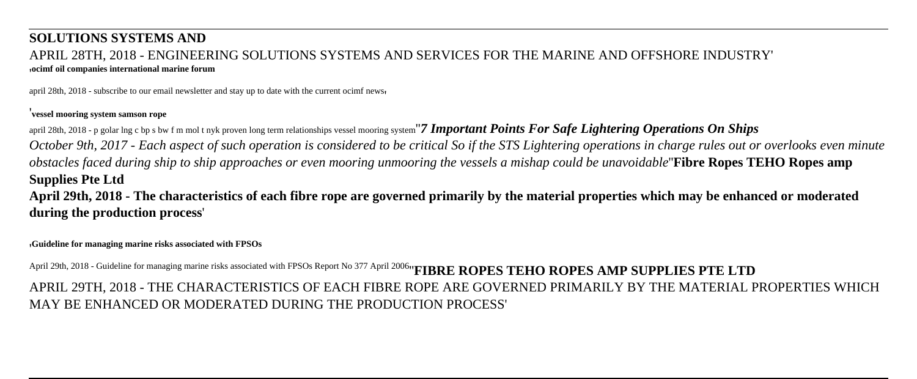#### **SOLUTIONS SYSTEMS AND** APRIL 28TH, 2018 - ENGINEERING SOLUTIONS SYSTEMS AND SERVICES FOR THE MARINE AND OFFSHORE INDUSTRY' '**ocimf oil companies international marine forum**

april 28th, 2018 - subscribe to our email newsletter and stay up to date with the current ocimf news'

#### '**vessel mooring system samson rope**

april 28th, 2018 - p golar lng c bp s bw f m mol t nyk proven long term relationships vessel mooring system"**7 Important Points For Safe Lightering Operations On Ships** 

*October 9th, 2017 - Each aspect of such operation is considered to be critical So if the STS Lightering operations in charge rules out or overlooks even minute obstacles faced during ship to ship approaches or even mooring unmooring the vessels a mishap could be unavoidable*''**Fibre Ropes TEHO Ropes amp Supplies Pte Ltd**

**April 29th, 2018 - The characteristics of each fibre rope are governed primarily by the material properties which may be enhanced or moderated during the production process**'

'**Guideline for managing marine risks associated with FPSOs**

April 29th, 2018 - Guideline for managing marine risks associated with FPSOs Report No 377 April 2006<sup>t</sup> **FIBRE ROPES TEHO ROPES AMP SUPPLIES PTE LTD** APRIL 29TH, 2018 - THE CHARACTERISTICS OF EACH FIBRE ROPE ARE GOVERNED PRIMARILY BY THE MATERIAL PROPERTIES WHICH MAY BE ENHANCED OR MODERATED DURING THE PRODUCTION PROCESS'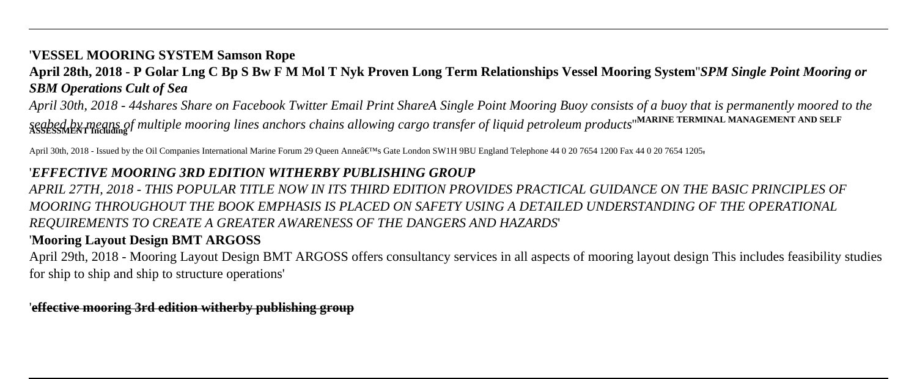## '**VESSEL MOORING SYSTEM Samson Rope**

# **April 28th, 2018 - P Golar Lng C Bp S Bw F M Mol T Nyk Proven Long Term Relationships Vessel Mooring System**''*SPM Single Point Mooring or SBM Operations Cult of Sea*

*April 30th, 2018 - 44shares Share on Facebook Twitter Email Print ShareA Single Point Mooring Buoy consists of a buoy that is permanently moored to the seabed by means of multiple mooring lines anchors chains allowing cargo transfer of liquid petroleum products*''**MARINE TERMINAL MANAGEMENT AND SELF ASSESSMENT Including**

April 30th, 2018 - Issued by the Oil Companies International Marine Forum 29 Queen Anne's Gate London SW1H 9BU England Telephone 44 0 20 7654 1200 Fax 44 0 20 7654 1200 Fax 44 0 20 7654 1205

#### '*EFFECTIVE MOORING 3RD EDITION WITHERBY PUBLISHING GROUP*

*APRIL 27TH, 2018 - THIS POPULAR TITLE NOW IN ITS THIRD EDITION PROVIDES PRACTICAL GUIDANCE ON THE BASIC PRINCIPLES OF MOORING THROUGHOUT THE BOOK EMPHASIS IS PLACED ON SAFETY USING A DETAILED UNDERSTANDING OF THE OPERATIONAL REQUIREMENTS TO CREATE A GREATER AWARENESS OF THE DANGERS AND HAZARDS*'

# '**Mooring Layout Design BMT ARGOSS**

April 29th, 2018 - Mooring Layout Design BMT ARGOSS offers consultancy services in all aspects of mooring layout design This includes feasibility studies for ship to ship and ship to structure operations'

'**effective mooring 3rd edition witherby publishing group**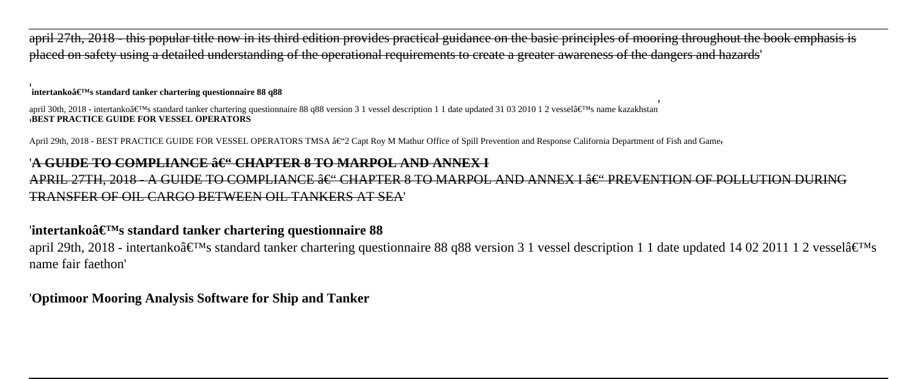april 27th, 2018 - this popular title now in its third edition provides practical guidance on the basic principles of mooring throughout the book emphasis is placed on safety using a detailed understanding of the operational requirements to create a greater awareness of the dangers and hazards'

#### '**intertanko's standard tanker chartering questionnaire 88 q88**

april 30th, 2018 - intertanko's standard tanker chartering questionnaire 88 q88 version 3 1 vessel description 1 1 date updated 31 03 2010 1 2 vessel's name kazakhstan '**BEST PRACTICE GUIDE FOR VESSEL OPERATORS**

April 29th, 2018 - BEST PRACTICE GUIDE FOR VESSEL OPERATORS TMSA †2 Capt Roy M Mathur Office of Spill Prevention and Response California Department of Fish and Game

#### '<del>A GUIDE TO COMPLIANCE ô€" CHAPTER 8 TO MARPOL AND ANNEX I</del>

APRIL 27TH, 2018 - A GUIDE TO COMPLIANCE †"CHAPTER 8 TO MARPOL AND ANNEX I †"PREVENTION OF POLLUTION DURING TRANSFER OF OIL CARGO BETWEEN OIL TANKERS AT SEA'

#### 'intertankoâ€<sup>™</sup>s standard tanker chartering questionnaire 88

april 29th, 2018 - intertanko $\hat{\mathbf{a}} \in \mathbb{M}$ s standard tanker chartering questionnaire 88 q88 version 3 1 vessel description 1 1 date updated 14 02 2011 1 2 vessel $\hat{\mathbf{a}} \in \mathbb{M}$ s name fair faethon'

#### '**Optimoor Mooring Analysis Software for Ship and Tanker**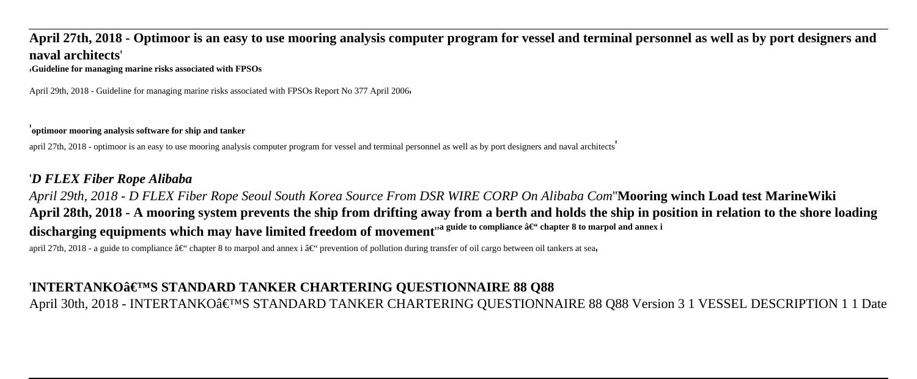# **April 27th, 2018 - Optimoor is an easy to use mooring analysis computer program for vessel and terminal personnel as well as by port designers and naval architects**'

'**Guideline for managing marine risks associated with FPSOs**

April 29th, 2018 - Guideline for managing marine risks associated with FPSOs Report No 377 April 2006.

#### '**optimoor mooring analysis software for ship and tanker**

april 27th, 2018 - optimoor is an easy to use mooring analysis computer program for vessel and terminal personnel as well as by port designers and naval architects'

# '*D FLEX Fiber Rope Alibaba*

*April 29th, 2018 - D FLEX Fiber Rope Seoul South Korea Source From DSR WIRE CORP On Alibaba Com*''**Mooring winch Load test MarineWiki April 28th, 2018 - A mooring system prevents the ship from drifting away from a berth and holds the ship in position in relation to the shore loading** discharging equipments which may have limited freedom of movement<sup>"a guide to compliance â€" chapter 8 to marpol and annex i</sup>

april 27th, 2018 - a guide to compliance â $\epsilon^*$  chapter 8 to marpol and annex i â $\epsilon^*$  prevention of pollution during transfer of oil cargo between oil tankers at sea

# '**INTERTANKO'S STANDARD TANKER CHARTERING QUESTIONNAIRE 88 Q88**

April 30th, 2018 - INTERTANKO'S STANDARD TANKER CHARTERING QUESTIONNAIRE 88 Q88 Version 3 1 VESSEL DESCRIPTION 1 1 Date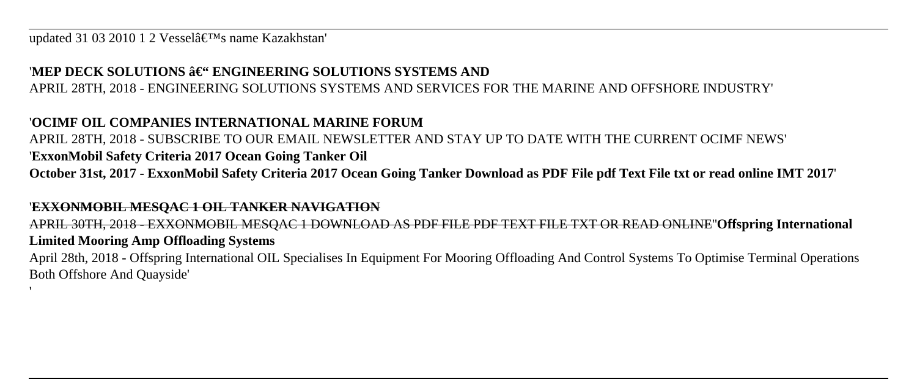updated 31 03 2010 1 2 Vessel $\hat{a} \in T^{M}$ s name Kazakhstan'

# 'MEP DECK SOLUTIONS **– ENGINEERING SOLUTIONS SYSTEMS AND**

APRIL 28TH, 2018 - ENGINEERING SOLUTIONS SYSTEMS AND SERVICES FOR THE MARINE AND OFFSHORE INDUSTRY'

# '**OCIMF OIL COMPANIES INTERNATIONAL MARINE FORUM**

APRIL 28TH, 2018 - SUBSCRIBE TO OUR EMAIL NEWSLETTER AND STAY UP TO DATE WITH THE CURRENT OCIMF NEWS' '**ExxonMobil Safety Criteria 2017 Ocean Going Tanker Oil October 31st, 2017 - ExxonMobil Safety Criteria 2017 Ocean Going Tanker Download as PDF File pdf Text File txt or read online IMT 2017**'

#### '**EXXONMOBIL MESQAC 1 OIL TANKER NAVIGATION**

'

APRIL 30TH, 2018 - EXXONMOBIL MESQAC 1 DOWNLOAD AS PDF FILE PDF TEXT FILE TXT OR READ ONLINE''**Offspring International Limited Mooring Amp Offloading Systems**

April 28th, 2018 - Offspring International OIL Specialises In Equipment For Mooring Offloading And Control Systems To Optimise Terminal Operations Both Offshore And Quayside'